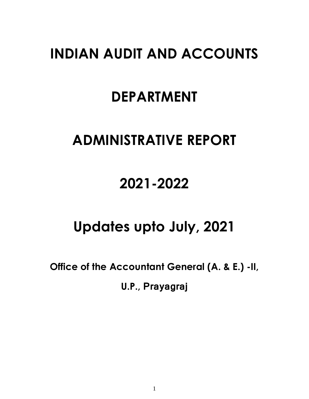## **INDIAN AUDIT AND ACCOUNTS**

## **DEPARTMENT**

# **ADMINISTRATIVE REPORT**

## **2021-2022**

# **Updates upto July, 2021**

**Office of the Accountant General (A. & E.) -II,** 

**U.P., Prayagraj**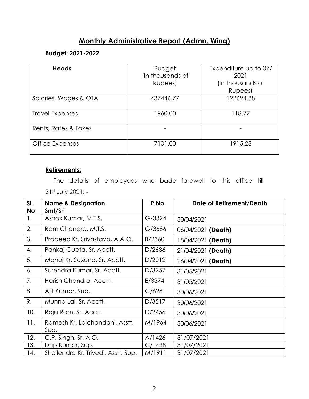## **Monthly Administrative Report (Admn. Wing)**

### **Budget**: **2021-2022**

| <b>Heads</b>           | <b>Budget</b><br>(In thousands of<br>Rupees) | Expenditure up to 07/<br>2021<br>(In thousands of<br>Rupees) |
|------------------------|----------------------------------------------|--------------------------------------------------------------|
| Salaries, Wages & OTA  | 437446.77                                    | 192694.88                                                    |
| <b>Travel Expenses</b> | 1960.00                                      | 118.77                                                       |
| Rents, Rates & Taxes   |                                              |                                                              |
| Office Expenses        | 7101.00                                      | 1915.28                                                      |

### **Retirements:**

 The details of employees who bade farewell to this office till 31st July 2021: -

| SI. | <b>Name &amp; Designation</b>          | P.No.  | <b>Date of Retirement/Death</b> |
|-----|----------------------------------------|--------|---------------------------------|
| No  | Smt/Sri                                |        |                                 |
| 1.  | Ashok Kumar, M.T.S.                    | G/3324 | 30/04/2021                      |
| 2.  | Ram Chandra, M.T.S.                    | G/3686 | 06/04/2021 (Death)              |
| 3.  | Pradeep Kr. Srivastava, A.A.O.         | B/2360 | 18/04/2021 (Death)              |
| 4.  | Pankaj Gupta, Sr. Acctt.               | D/2686 | 21/04/2021 (Death)              |
| 5.  | Manoj Kr. Saxena, Sr. Acctt.           | D/2012 | 26/04/2021 (Death)              |
| 6.  | Surendra Kumar, Sr. Acctt.             | D/3257 | 31/05/2021                      |
| 7.  | Harish Chandra, Acctt.                 | E/3374 | 31/05/2021                      |
| 8.  | Ajit Kumar, Sup.                       | C/628  | 30/06/2021                      |
| 9.  | Munna Lal, Sr. Acctt.                  | D/3517 | 30/06/2021                      |
| 10. | Raja Ram, Sr. Acctt.                   | D/2456 | 30/06/2021                      |
| 11. | Ramesh Kr. Lalchandani, Asstt.<br>Sup. | M/1964 | 30/06/2021                      |
| 12. | C.P. Singh, Sr. A.O.                   | A/1426 | 31/07/2021                      |
| 13. | Dilip Kumar, Sup.                      | C/1438 | 31/07/2021                      |
| 14. | Shailendra Kr. Trivedi, Asstt. Sup.    | M/1911 | 31/07/2021                      |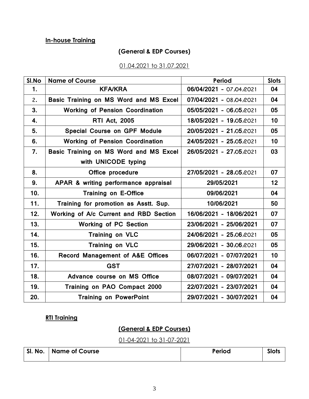## **In-house Training**

## **(General & EDP Courses)**

### 01.04.2021 to 31.07.2021

| SI.No | <b>Name of Course</b>                       | <b>Period</b>           | <b>Slots</b> |
|-------|---------------------------------------------|-------------------------|--------------|
| 1.    | <b>KFA/KRA</b>                              | 06/04/2021 - 07:04:2021 | 04           |
| 2.    | Basic Training on MS Word and MS Excel      | 07/04/2021 - 08/04/2021 | 04           |
| 3.    | <b>Working of Pension Coordination</b>      | 05/05/2021 - 06/05/2021 | 05           |
| 4.    | <b>RTI Act, 2005</b>                        | 18/05/2021 - 19/05/2021 | 10           |
| 5.    | <b>Special Course on GPF Module</b>         | 20/05/2021 - 21/05/2021 | 05           |
| 6.    | <b>Working of Pension Coordination</b>      | 24/05/2021 - 25/05/2021 | 10           |
| 7.    | Basic Training on MS Word and MS Excel      | 26/05/2021 - 27.05.2021 | 03           |
|       | with UNICODE typing                         |                         |              |
| 8.    | Office procedure                            | 27/05/2021 - 28/05/2021 | 07           |
| 9.    | APAR & writing performance appraisal        | 29/05/2021              | 12           |
| 10.   | <b>Training on E-Office</b>                 | 09/06/2021              | 04           |
| 11.   | Training for promotion as Asstt. Sup.       | 10/06/2021              | 50           |
| 12.   | Working of A/c Current and RBD Section      | 16/06/2021 - 18/06/2021 | 07           |
| 13.   | <b>Working of PC Section</b>                | 23/06/2021 - 25/06/2021 | 07           |
| 14.   | <b>Training on VLC</b>                      | 24/06/2021 - 25/06/2021 | 05           |
| 15.   | <b>Training on VLC</b>                      | 29/06/2021 - 30/06/2021 | 05           |
| 16.   | <b>Record Management of A&amp;E Offices</b> | 06/07/2021 - 07/07/2021 | 10           |
| 17.   | <b>GST</b>                                  | 27/07/2021 - 28/07/2021 | 04           |
| 18.   | Advance course on MS Office                 | 08/07/2021 - 09/07/2021 | 04           |
| 19.   | Training on PAO Compact 2000                | 22/07/2021 - 23/07/2021 | 04           |
| 20.   | <b>Training on PowerPoint</b>               | 29/07/2021 - 30/07/2021 | 04           |

## **RTI Training**

## **(General & EDP Courses)**

01-04-2021 to 31-07-2021

| SI. No. | <b>Name of Course</b> | Period | <b>Slots</b> |
|---------|-----------------------|--------|--------------|
|         |                       |        |              |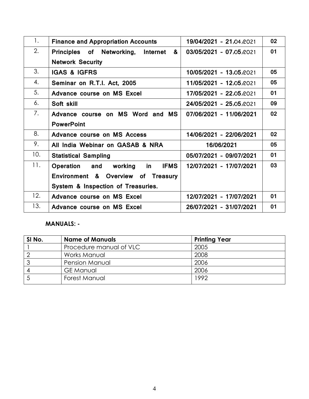| 1.  | <b>Finance and Appropriation Accounts</b>        | 19/04/2021 - 21/04/2021 | 02 |
|-----|--------------------------------------------------|-------------------------|----|
| 2.  | Principles of Networking,<br>&<br>Internet       | 03/05/2021 - 07.05.2021 | 01 |
|     | <b>Network Security</b>                          |                         |    |
| 3.  | <b>IGAS &amp; IGFRS</b>                          | 10/05/2021 - 13.05/2021 | 05 |
| 4.  | Seminar on R.T.I. Act, 2005                      | 11/05/2021 - 12.05.2021 | 05 |
| 5.  | Advance course on MS Excel                       | 17/05/2021 - 22.05.2021 | 01 |
| 6.  | Soft skill                                       | 24/05/2021 - 25.05.2021 | 09 |
| 7.  | Advance course on MS Word and MS                 | 07/06/2021 - 11/06/2021 | 02 |
|     | <b>PowerPoint</b>                                |                         |    |
| 8.  | Advance course on MS Access                      | 14/06/2021 - 22/06/2021 | 02 |
| 9.  | All India Webinar on GASAB & NRA                 | 16/06/2021              | 05 |
| 10. | <b>Statistical Sampling</b>                      | 05/07/2021 - 09/07/2021 | 01 |
| 11. | <b>IFMS</b><br>Operation<br>working<br>and<br>in | 12/07/2021 - 17/07/2021 | 03 |
|     | Environment & Overview of Treasury               |                         |    |
|     | System & Inspection of Treasuries.               |                         |    |
| 12. | Advance course on MS Excel                       | 12/07/2021 - 17/07/2021 | 01 |
| 13. | Advance course on MS Excel                       | 26/07/2021 - 31/07/2021 | 01 |

## **MANUALS: -**

| SI No. | <b>Name of Manuals</b>  | <b>Printing Year</b> |
|--------|-------------------------|----------------------|
|        | Procedure manual of VLC | 2005                 |
|        | Works Manual            | 2008                 |
|        | <b>Pension Manual</b>   | 2006                 |
|        | <b>GE</b> Manual        | 2006                 |
|        | Forest Manual           | 1992                 |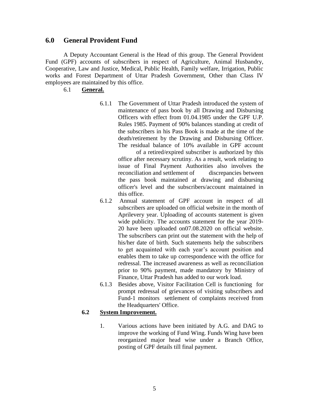#### **6.0 General Provident Fund**

A Deputy Accountant General is the Head of this group. The General Provident Fund (GPF) accounts of subscribers in respect of Agriculture, Animal Husbandry, Cooperative, Law and Justice, Medical, Public Health, Family welfare, Irrigation, Public works and Forest Department of Uttar Pradesh Government, Other than Class IV employees are maintained by this office.

6.1 **General.**

6.1.1 The Government of Uttar Pradesh introduced the system of maintenance of pass book by all Drawing and Disbursing Officers with effect from 01.04.1985 under the GPF U.P. Rules 1985. Payment of 90% balances standing at credit of the subscribers in his Pass Book is made at the time of the death/retirement by the Drawing and Disbursing Officer. The residual balance of 10% available in GPF account

of a retired/expired subscriber is authorized by this office after necessary scrutiny. As a result, work relating to issue of Final Payment Authorities also involves the reconciliation and settlement of discrepancies between the pass book maintained at drawing and disbursing officer's level and the subscribers/account maintained in this office.

- 6.1.2 Annual statement of GPF account in respect of all subscribers are uploaded on official website in the month of Aprilevery year. Uploading of accounts statement is given wide publicity. The accounts statement for the year 2019- 20 have been uploaded on07.08.2020 on official website. The subscribers can print out the statement with the help of his/her date of birth. Such statements help the subscribers to get acquainted with each year's account position and enables them to take up correspondence with the office for redressal. The increased awareness as well as reconciliation prior to 90% payment, made mandatory by Ministry of Finance, Uttar Pradesh has added to our work load.
- 6.1.3 Besides above, Visitor Facilitation Cell is functioning for prompt redressal of grievances of visiting subscribers and Fund-1 monitors settlement of complaints received from the Headquarters' Office.

#### **6.2 System Improvement.**

1. Various actions have been initiated by A.G. and DAG to improve the working of Fund Wing. Funds Wing have been reorganized major head wise under a Branch Office, posting of GPF details till final payment.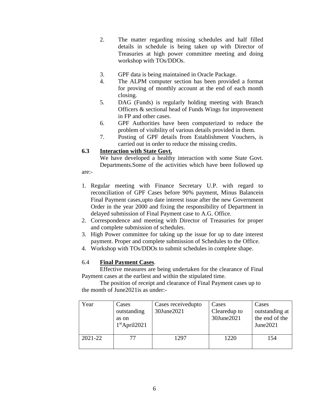- 2. The matter regarding missing schedules and half filled details in schedule is being taken up with Director of Treasuries at high power committee meeting and doing workshop with TOs/DDOs.
- 3. GPF data is being maintained in Oracle Package.
- 4. The ALPM computer section has been provided a format for proving of monthly account at the end of each month closing.
- 5. DAG (Funds) is regularly holding meeting with Branch Officers & sectional head of Funds Wings for improvement in FP and other cases.
- 6. GPF Authorities have been computerized to reduce the problem of visibility of various details provided in them.
- 7. Posting of GPF details from Establishment Vouchers, is carried out in order to reduce the missing credits.

#### **6.3 Interaction with State Govt.**

We have developed a healthy interaction with some State Govt. Departments.Some of the activities which have been followed up

are:-

- 1. Regular meeting with Finance Secretary U.P. with regard to reconciliation of GPF Cases before 90% payment, Minus Balancein Final Payment cases,upto date interest issue after the new Government Order in the year 2000 and fixing the responsibility of Department in delayed submission of Final Payment case to A.G. Office.
- 2. Correspondence and meeting with Director of Treasuries for proper and complete submission of schedules.
- 3. High Power committee for taking up the issue for up to date interest payment. Proper and complete submission of Schedules to the Office.
- 4. Workshop with TOs/DDOs to submit schedules in complete shape.

#### 6.4 **Final Payment Cases**.

Effective measures are being undertaken for the clearance of Final Payment cases at the earliest and within the stipulated time.

The position of receipt and clearance of Final Payment cases up to the month of June2021is as under:-

| Year    | Cases<br>outstanding<br>as on<br>$1st$ April2021 | Cases received upto<br>30June2021 | Cases<br>Clearedup to<br>30June2021 | Cases<br>outstanding at<br>the end of the<br>June2021 |
|---------|--------------------------------------------------|-----------------------------------|-------------------------------------|-------------------------------------------------------|
| 2021-22 |                                                  | 1297                              | 1220                                | 154                                                   |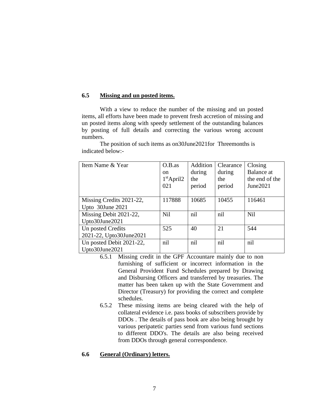#### **6.5 Missing and un posted items.**

With a view to reduce the number of the missing and un posted items, all efforts have been made to prevent fresh accretion of missing and un posted items along with speedy settlement of the outstanding balances by posting of full details and correcting the various wrong account numbers.

The position of such items as on30June2021for Threemonths is indicated below:-

| Item Name & Year         | $O.B.$ as    | Addition | Clearance | Closing         |
|--------------------------|--------------|----------|-----------|-----------------|
|                          | on.          | during   | during    | Balance at      |
|                          | $1st$ April2 | the      | the       | the end of the  |
|                          | 021          | period   | period    | June2021        |
|                          |              |          |           |                 |
| Missing Credits 2021-22, | 117888       | 10685    | 10455     | 116461          |
| Upto 30June 2021         |              |          |           |                 |
| Missing Debit 2021-22,   | <b>Nil</b>   | nil      | nil       | N <sub>il</sub> |
| Upto30June2021           |              |          |           |                 |
| Un posted Credits        | 525          | 40       | 21        | 544             |
| 2021-22, Upto30June2021  |              |          |           |                 |
| Un posted Debit 2021-22, | nil          | nil      | nil       | nil             |
| Upto30June2021           |              |          |           |                 |

- 6.5.1 Missing credit in the GPF Accountare mainly due to non furnishing of sufficient or incorrect information in the General Provident Fund Schedules prepared by Drawing and Disbursing Officers and transferred by treasuries. The matter has been taken up with the State Government and Director (Treasury) for providing the correct and complete schedules.
- 6.5.2 These missing items are being cleared with the help of collateral evidence i.e. pass books of subscribers provide by DDOs . The details of pass book are also being brought by various peripatetic parties send from various fund sections to different DDO's. The details are also being received from DDOs through general correspondence.

#### **6.6 General (Ordinary) letters.**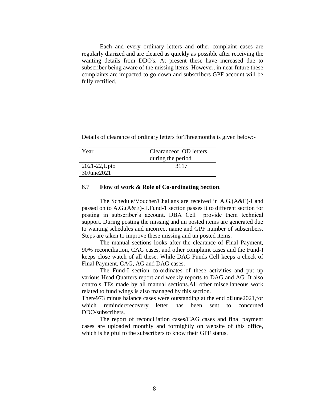Each and every ordinary letters and other complaint cases are regularly diarized and are cleared as quickly as possible after receiving the wanting details from DDO's. At present these have increased due to subscriber being aware of the missing items. However, in near future these complaints are impacted to go down and subscribers GPF account will be fully rectified.

Details of clearance of ordinary letters forThreemonths is given below:-

| Year                        | Clearance of OD letters<br>during the period |
|-----------------------------|----------------------------------------------|
| 2021-22, Upto<br>30June2021 | 3117                                         |

#### 6.7 **Flow of work & Role of Co-ordinating Section**.

The Schedule/Voucher/Challans are received in A.G.(A&E)-I and passed on to A.G.(A&E)-II.Fund-1 section passes it to different section for posting in subscriber's account. DBA Cell provide them technical support. During posting the missing and un posted items are generated due to wanting schedules and incorrect name and GPF number of subscribers. Steps are taken to improve these missing and un posted items.

The manual sections looks after the clearance of Final Payment, 90% reconciliation, CAG cases, and other complaint cases and the Fund-I keeps close watch of all these. While DAG Funds Cell keeps a check of Final Payment, CAG, AG and DAG cases.

The Fund-I section co-ordinates of these activities and put up various Head Quarters report and weekly reports to DAG and AG. It also controls TEs made by all manual sections.All other miscellaneous work related to fund wings is also managed by this section.

There973 minus balance cases were outstanding at the end ofJune2021,for which reminder/recovery letter has been sent to concerned DDO/subscribers.

The report of reconciliation cases/CAG cases and final payment cases are uploaded monthly and fortnightly on website of this office, which is helpful to the subscribers to know their GPF status.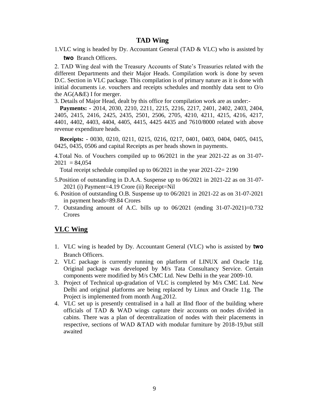### **TAD Wing**

1.VLC wing is headed by Dy. Accountant General (TAD & VLC) who is assisted by **two** Branch Officers.

2. TAD Wing deal with the Treasury Accounts of State's Treasuries related with the different Departments and their Major Heads. Compilation work is done by seven D.C. Section in VLC package. This compilation is of primary nature as it is done with initial documents i.e. vouchers and receipts schedules and monthly data sent to O/o the AG(A&E) I for merger.

3. Details of Major Head, dealt by this office for compilation work are as under:-

**Payments: -** 2014, 2030, 2210, 2211, 2215, 2216, 2217, 2401, 2402, 2403, 2404, 2405, 2415, 2416, 2425, 2435, 2501, 2506, 2705, 4210, 4211, 4215, 4216, 4217, 4401, 4402, 4403, 4404, 4405, 4415, 4425 4435 and 7610/8000 related with above revenue expenditure heads.

**Receipts: -** 0030, 0210, 0211, 0215, 0216, 0217, 0401, 0403, 0404, 0405, 0415, 0425, 0435, 0506 and capital Receipts as per heads shown in payments.

4.Total No. of Vouchers compiled up to 06/2021 in the year 2021-22 as on 31-07-  $2021 = 84,054$ 

Total receipt schedule compiled up to 06/2021 in the year 2021-22= 2190

- 5.Position of outstanding in D.A.A. Suspense up to 06/2021 in 2021-22 as on 31-07- 2021 (i) Payment=4.19 Crore (ii) Receipt=Nil
- 6. Position of outstanding O.B. Suspense up to 06/2021 in 2021-22 as on 31-07-2021 in payment heads=89.84 Crores
- 7. Outstanding amount of A.C. bills up to 06/2021 (ending 31-07-2021)=0.732 Crores

#### **VLC Wing**

- 1. VLC wing is headed by Dy. Accountant General (VLC) who is assisted by **two** Branch Officers.
- 2. VLC package is currently running on platform of LINUX and Oracle 11g. Original package was developed by M/s Tata Consultancy Service. Certain components were modified by M/s CMC Ltd. New Delhi in the year 2009-10.
- 3. Project of Technical up-gradation of VLC is completed by M/s CMC Ltd. New Delhi and original platforms are being replaced by Linux and Oracle 11g. The Project is implemented from month Aug.2012.
- 4. VLC set up is presently centralised in a hall at IInd floor of the building where officials of TAD & WAD wings capture their accounts on nodes divided in cabins. There was a plan of decentralization of nodes with their placements in respective, sections of WAD &TAD with modular furniture by 2018-19,but still awaited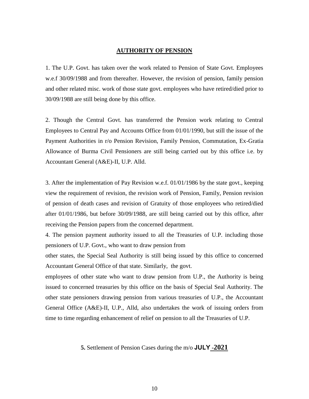#### **AUTHORITY OF PENSION**

1. The U.P. Govt. has taken over the work related to Pension of State Govt. Employees w.e.f 30/09/1988 and from thereafter. However, the revision of pension, family pension and other related misc. work of those state govt. employees who have retired/died prior to 30/09/1988 are still being done by this office.

2. Though the Central Govt. has transferred the Pension work relating to Central Employees to Central Pay and Accounts Office from 01/01/1990, but still the issue of the Payment Authorities in r/o Pension Revision, Family Pension, Commutation, Ex-Gratia Allowance of Burma Civil Pensioners are still being carried out by this office i.e. by Accountant General (A&E)-II, U.P. Alld.

3. After the implementation of Pay Revision w.e.f. 01/01/1986 by the state govt., keeping view the requirement of revision, the revision work of Pension, Family, Pension revision of pension of death cases and revision of Gratuity of those employees who retired/died after 01/01/1986, but before 30/09/1988, are still being carried out by this office, after receiving the Pension papers from the concerned department.

4. The pension payment authority issued to all the Treasuries of U.P. including those pensioners of U.P. Govt., who want to draw pension from

other states, the Special Seal Authority is still being issued by this office to concerned Accountant General Office of that state. Similarly, the govt.

employees of other state who want to draw pension from U.P., the Authority is being issued to concerned treasuries by this office on the basis of Special Seal Authority. The other state pensioners drawing pension from various treasuries of U.P., the Accountant General Office (A&E)-II, U.P., Alld, also undertakes the work of issuing orders from time to time regarding enhancement of relief on pension to all the Treasuries of U.P.

#### **5.** Settlement of Pension Cases during the m/o **JULY -2021**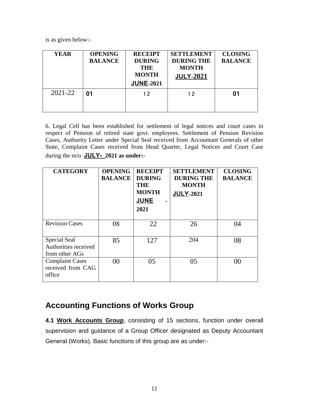is as given below:-

| <b>YEAR</b> | <b>OPENING</b><br><b>BALANCE</b> | <b>RECEIPT</b><br><b>DURING</b><br><b>THE</b><br><b>MONTH</b><br><b>JUNE-2021</b> | <b>SETTLEMENT</b><br><b>DURING THE</b><br><b>MONTH</b><br><b>JULY-2021</b> | <b>CLOSING</b><br><b>BALANCE</b> |
|-------------|----------------------------------|-----------------------------------------------------------------------------------|----------------------------------------------------------------------------|----------------------------------|
| 2021-22     | 01                               | 12                                                                                | 12                                                                         | 01                               |

6. Legal Cell has been established for settlement of legal notices and court cases in respect of Pension of retired state govt. employees. Settlement of Pension Revision Cases, Authority Letter under Special Seal received from Accountant Generals of other State, Complaint Cases received from Head Quarter, Legal Notices and Court Case during the m/o **JULY- 2021 as under:-**

| <b>CATEGORY</b>                                        | <b>OPENING</b><br><b>BALANCE</b> | <b>RECEIPT</b><br><b>DURING</b><br><b>THE</b><br><b>MONTH</b><br><b>JUNE</b><br>$\blacksquare$<br>2021 | <b>SETTLEMENT</b><br><b>DURING THE</b><br><b>MONTH</b><br><b>JULY-2021</b> | <b>CLOSING</b><br><b>BALANCE</b> |
|--------------------------------------------------------|----------------------------------|--------------------------------------------------------------------------------------------------------|----------------------------------------------------------------------------|----------------------------------|
| <b>Revision Cases</b>                                  | 08                               | 22                                                                                                     | 26                                                                         | 04                               |
| Special Seal<br>Authorities received<br>from other AGs | 85                               | 127                                                                                                    | 204                                                                        | 08                               |
| <b>Complaint Cases</b><br>received from CAG<br>office  | $00\,$                           | 05                                                                                                     | 05                                                                         | 00                               |

## **Accounting Functions of Works Group**

**4.1 Work Accounts Group**, consisting of 15 sections, function under overall supervision and guidance of a Group Officer designated as Deputy Accountant General (Works). Basic functions of this group are as under:-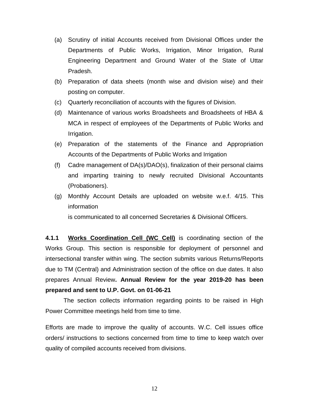- (a) Scrutiny of initial Accounts received from Divisional Offices under the Departments of Public Works, Irrigation, Minor Irrigation, Rural Engineering Department and Ground Water of the State of Uttar Pradesh.
- (b) Preparation of data sheets (month wise and division wise) and their posting on computer.
- (c) Quarterly reconciliation of accounts with the figures of Division.
- (d) Maintenance of various works Broadsheets and Broadsheets of HBA & MCA in respect of employees of the Departments of Public Works and Irrigation.
- (e) Preparation of the statements of the Finance and Appropriation Accounts of the Departments of Public Works and Irrigation
- (f) Cadre management of DA(s)/DAO(s), finalization of their personal claims and imparting training to newly recruited Divisional Accountants (Probationers).
- (g) Monthly Account Details are uploaded on website w.e.f. 4/15. This information is communicated to all concerned Secretaries & Divisional Officers.

**4.1.1 Works Coordination Cell (WC Cell)** is coordinating section of the Works Group. This section is responsible for deployment of personnel and intersectional transfer within wing. The section submits various Returns/Reports due to TM (Central) and Administration section of the office on due dates. It also prepares Annual Review**. Annual Review for the year 2019-20 has been prepared and sent to U.P. Govt. on 01-06-21**

The section collects information regarding points to be raised in High Power Committee meetings held from time to time.

Efforts are made to improve the quality of accounts. W.C. Cell issues office orders/ instructions to sections concerned from time to time to keep watch over quality of compiled accounts received from divisions.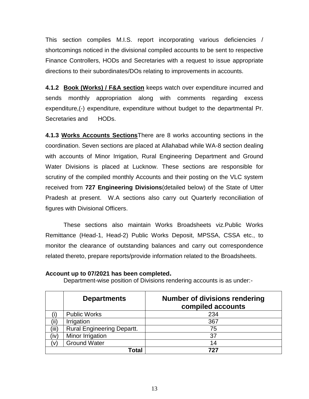This section compiles M.I.S. report incorporating various deficiencies / shortcomings noticed in the divisional compiled accounts to be sent to respective Finance Controllers, HODs and Secretaries with a request to issue appropriate directions to their subordinates/DOs relating to improvements in accounts.

**4.1.2 Book (Works) / F&A section** keeps watch over expenditure incurred and sends monthly appropriation along with comments regarding excess expenditure,(-) expenditure, expenditure without budget to the departmental Pr. Secretaries and HODs.

**4.1.3 Works Accounts Sections**There are 8 works accounting sections in the coordination. Seven sections are placed at Allahabad while WA-8 section dealing with accounts of Minor Irrigation, Rural Engineering Department and Ground Water Divisions is placed at Lucknow. These sections are responsible for scrutiny of the compiled monthly Accounts and their posting on the VLC system received from **727 Engineering Divisions**(detailed below) of the State of Utter Pradesh at present. W.A sections also carry out Quarterly reconciliation of figures with Divisional Officers.

These sections also maintain Works Broadsheets viz.Public Works Remittance (Head-1, Head-2) Public Works Deposit, MPSSA, CSSA etc., to monitor the clearance of outstanding balances and carry out correspondence related thereto, prepare reports/provide information related to the Broadsheets.

|               | <b>Departments</b>                | <b>Number of divisions rendering</b><br>compiled accounts |
|---------------|-----------------------------------|-----------------------------------------------------------|
|               | <b>Public Works</b>               | 234                                                       |
|               | Irrigation                        | 367                                                       |
| (iii)         | <b>Rural Engineering Departt.</b> | 75                                                        |
| (iv̀          | Minor Irrigation                  | 37                                                        |
| $\mathcal{U}$ | <b>Ground Water</b>               | 14                                                        |
|               | Гоtal                             |                                                           |

**Account up to 07/2021 has been completed.**

Department-wise position of Divisions rendering accounts is as under:-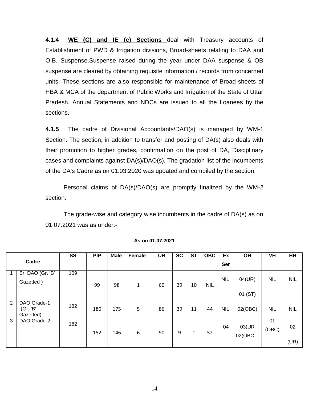**4.1.4 WE (C) and IE (c) Sections** deal with Treasury accounts of Establishment of PWD & Irrigation divisions, Broad-sheets relating to DAA and O.B. Suspense.Suspense raised during the year under DAA suspense & OB suspense are cleared by obtaining requisite information / records from concerned units. These sections are also responsible for maintenance of Broad-sheets of HBA & MCA of the department of Public Works and Irrigation of the State of Uttar Pradesh. Annual Statements and NDCs are issued to all the Loanees by the sections.

**4.1.5** The cadre of Divisional Accountants/DAO(s) is managed by WM-1 Section. The section, in addition to transfer and posting of DA(s) also deals with their promotion to higher grades, confirmation on the post of DA, Disciplinary cases and complaints against DA(s)/DAO(s). The gradation list of the incumbents of the DA's Cadre as on 01.03.2020 was updated and compiled by the section.

Personal claims of DA(s)/DAO(s) are promptly finalized by the WM-2 section.

The grade-wise and category wise incumbents in the cadre of DA(s) as on 01.07.2021 was as under:-

|       |                                      | <b>SS</b> | <b>PIP</b> | <b>Male</b> | Female | <b>UR</b> | <b>SC</b> | <b>ST</b> | <b>OBC</b> | Ex         | <b>OH</b>         | VH          | HH         |
|-------|--------------------------------------|-----------|------------|-------------|--------|-----------|-----------|-----------|------------|------------|-------------------|-------------|------------|
| Cadre |                                      |           |            |             |        |           |           |           |            | Ser        |                   |             |            |
|       | Sr. DAO (Gr. 'B'<br>Gazetted)        | 109       | 99         | 98          | 1      | 60        | 29        | 10        | <b>NIL</b> | <b>NIL</b> | 04(UR)<br>01 (ST) | <b>NIL</b>  | <b>NIL</b> |
| 2     | DAO Grade-1<br>(Gr. 'B'<br>Gazetted) | 182       | 180        | 175         | 5      | 86        | 39        | 11        | 44         | <b>NIL</b> | 02(OBC)           | <b>NIL</b>  | <b>NIL</b> |
| 3     | DAO Grade-2                          | 182       | 152        | 146         | 6      | 90        | 9         | 1         | 52         | 04         | 03(UR<br>02(OBC   | 01<br>(OBC) | 02<br>(UR) |

**As on 01.07.2021**